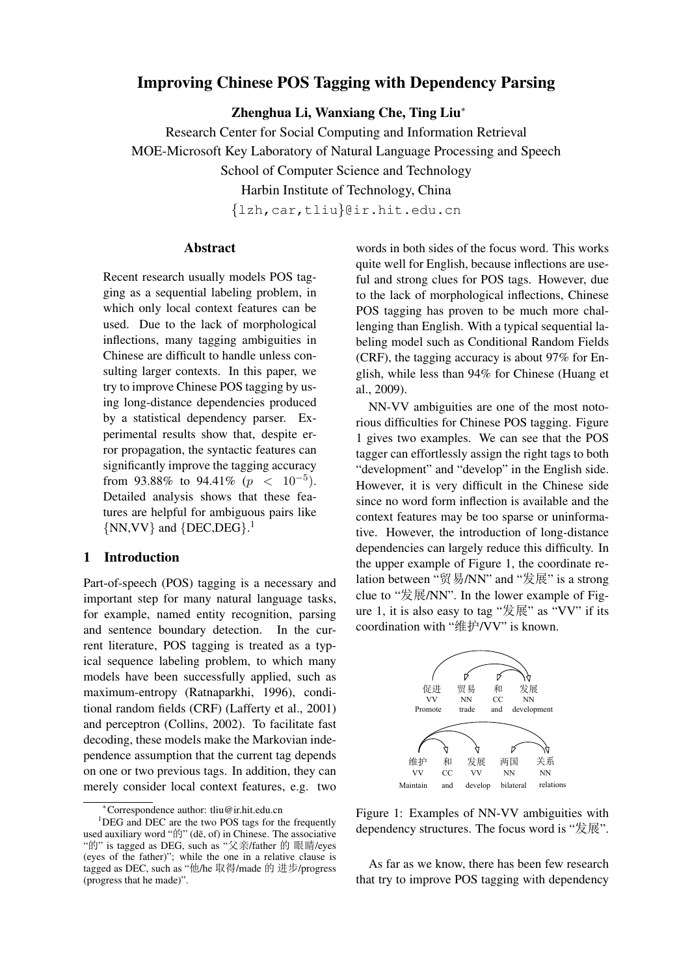# Improving Chinese POS Tagging with Dependency Parsing

Zhenghua Li, Wanxiang Che, Ting Liu*<sup>∗</sup>*

Research Center for Social Computing and Information Retrieval MOE-Microsoft Key Laboratory of Natural Language Processing and Speech

School of Computer Science and Technology

Harbin Institute of Technology, China

*{*lzh,car,tliu*}*@ir.hit.edu.cn

## Abstract

Recent research usually models POS tagging as a sequential labeling problem, in which only local context features can be used. Due to the lack of morphological inflections, many tagging ambiguities in Chinese are difficult to handle unless consulting larger contexts. In this paper, we try to improve Chinese POS tagging by using long-distance dependencies produced by a statistical dependency parser. Experimental results show that, despite error propagation, the syntactic features can significantly improve the tagging accuracy from 93.88% to 94.41% ( $p < 10^{-5}$ ). Detailed analysis shows that these features are helpful for ambiguous pairs like *{*NN,VV*}* and *{*DEC,DEG*}*. 1

# 1 Introduction

Part-of-speech (POS) tagging is a necessary and important step for many natural language tasks, for example, named entity recognition, parsing and sentence boundary detection. In the current literature, POS tagging is treated as a typical sequence labeling problem, to which many models have been successfully applied, such as maximum-entropy (Ratnaparkhi, 1996), conditional random fields (CRF) (Lafferty et al., 2001) and perceptron (Collins, 2002). To facilitate fast decoding, these models make the Markovian independence assumption that the current tag depends on one or two previous tags. In addition, they can merely consider local context features, e.g. two

words in both sides of the focus word. This works quite well for English, because inflections are useful and strong clues for POS tags. However, due to the lack of morphological inflections, Chinese POS tagging has proven to be much more challenging than English. With a typical sequential labeling model such as Conditional Random Fields (CRF), the tagging accuracy is about 97% for English, while less than 94% for Chinese (Huang et al., 2009).

NN-VV ambiguities are one of the most notorious difficulties for Chinese POS tagging. Figure 1 gives two examples. We can see that the POS tagger can effortlessly assign the right tags to both "development" and "develop" in the English side. However, it is very difficult in the Chinese side since no word form inflection is available and the context features may be too sparse or uninformative. However, the introduction of long-distance dependencies can largely reduce this difficulty. In the upper example of Figure 1, the coordinate relation between "贸易/NN" and "发展" is a strong clue to "发展/NN". In the lower example of Figure 1, it is also easy to tag "发展" as "VV" if its coordination with "维护/VV" is known.



Figure 1: Examples of NN-VV ambiguities with dependency structures. The focus word is "发展".

As far as we know, there has been few research that try to improve POS tagging with dependency

*<sup>∗</sup>*Correspondence author: tliu@ir.hit.edu.cn

 $1$ DEG and DEC are the two POS tags for the frequently used auxiliary word " $\sharp \sharp$ " (dē, of) in Chinese. The associative "的" is tagged as DEG, such as "父亲/father 的 眼睛/eyes (eyes of the father)"; while the one in a relative clause is tagged as DEC, such as "他/he 取得/made 的 进步/progress (progress that he made)".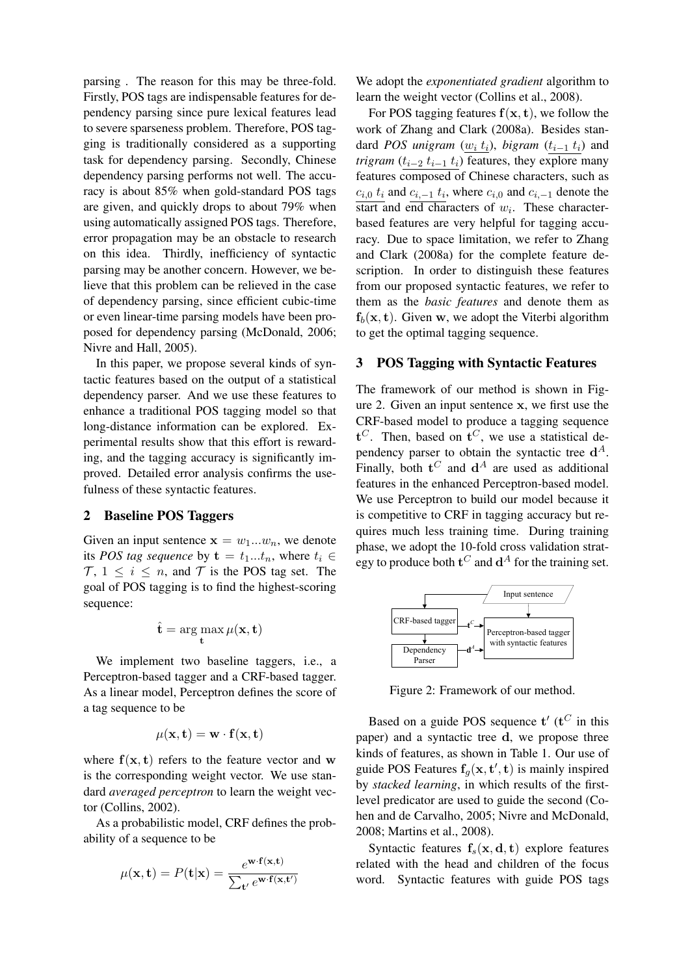parsing . The reason for this may be three-fold. Firstly, POS tags are indispensable features for dependency parsing since pure lexical features lead to severe sparseness problem. Therefore, POS tagging is traditionally considered as a supporting task for dependency parsing. Secondly, Chinese dependency parsing performs not well. The accuracy is about 85% when gold-standard POS tags are given, and quickly drops to about 79% when using automatically assigned POS tags. Therefore, error propagation may be an obstacle to research on this idea. Thirdly, inefficiency of syntactic parsing may be another concern. However, we believe that this problem can be relieved in the case of dependency parsing, since efficient cubic-time or even linear-time parsing models have been proposed for dependency parsing (McDonald, 2006; Nivre and Hall, 2005).

In this paper, we propose several kinds of syntactic features based on the output of a statistical dependency parser. And we use these features to enhance a traditional POS tagging model so that long-distance information can be explored. Experimental results show that this effort is rewarding, and the tagging accuracy is significantly improved. Detailed error analysis confirms the usefulness of these syntactic features.

#### 2 Baseline POS Taggers

Given an input sentence  $\mathbf{x} = w_1...w_n$ , we denote its *POS tag sequence* by  $\mathbf{t} = t_1...t_n$ , where  $t_i \in$  $\mathcal{T}, 1 \leq i \leq n$ , and  $\mathcal{T}$  is the POS tag set. The goal of POS tagging is to find the highest-scoring sequence:

$$
\hat{\mathbf{t}} = \arg\max_{\mathbf{t}} \mu(\mathbf{x}, \mathbf{t})
$$

We implement two baseline taggers, i.e., a Perceptron-based tagger and a CRF-based tagger. As a linear model, Perceptron defines the score of a tag sequence to be

$$
\mu(\mathbf{x}, \mathbf{t}) = \mathbf{w} \cdot \mathbf{f}(\mathbf{x}, \mathbf{t})
$$

where  $f(x, t)$  refers to the feature vector and w is the corresponding weight vector. We use standard *averaged perceptron* to learn the weight vector (Collins, 2002).

As a probabilistic model, CRF defines the probability of a sequence to be

$$
\mu(\mathbf{x}, \mathbf{t}) = P(\mathbf{t}|\mathbf{x}) = \frac{e^{\mathbf{w} \cdot \mathbf{f}(\mathbf{x}, \mathbf{t})}}{\sum_{\mathbf{t}'} e^{\mathbf{w} \cdot \mathbf{f}(\mathbf{x}, \mathbf{t')}}
$$

We adopt the *exponentiated gradient* algorithm to learn the weight vector (Collins et al., 2008).

For POS tagging features  $f(x, t)$ , we follow the work of Zhang and Clark (2008a). Besides standard *POS* unigram  $(w_i t_i)$ , bigram  $(t_{i-1} t_i)$  and *trigram* ( $t_{i-2}$   $t_{i-1}$   $t_i$ ) features, they explore many features composed of Chinese characters, such as  $c_{i,0}$   $t_i$  and  $c_{i,-1}$   $t_i$ , where  $c_{i,0}$  and  $c_{i,-1}$  denote the start and end characters of *w<sup>i</sup>* . These characterbased features are very helpful for tagging accuracy. Due to space limitation, we refer to Zhang and Clark (2008a) for the complete feature description. In order to distinguish these features from our proposed syntactic features, we refer to them as the *basic features* and denote them as  $f_h(x, t)$ . Given **w**, we adopt the Viterbi algorithm to get the optimal tagging sequence.

#### 3 POS Tagging with Syntactic Features

The framework of our method is shown in Figure 2. Given an input sentence **x**, we first use the CRF-based model to produce a tagging sequence **t** *<sup>C</sup>*. Then, based on **t** *<sup>C</sup>*, we use a statistical dependency parser to obtain the syntactic tree  $d^A$ . Finally, both  $t^C$  and  $d^A$  are used as additional features in the enhanced Perceptron-based model. We use Perceptron to build our model because it is competitive to CRF in tagging accuracy but requires much less training time. During training phase, we adopt the 10-fold cross validation strategy to produce both  $\mathbf{t}^C$  and  $\mathbf{d}^A$  for the training set.



Figure 2: Framework of our method.

Based on a guide POS sequence  $t'$  ( $t^C$  in this paper) and a syntactic tree **d**, we propose three kinds of features, as shown in Table 1. Our use of guide POS Features  $f_g(x, t', t)$  is mainly inspired by *stacked learning*, in which results of the firstlevel predicator are used to guide the second (Cohen and de Carvalho, 2005; Nivre and McDonald, 2008; Martins et al., 2008).

Syntactic features  $f_s(x, d, t)$  explore features related with the head and children of the focus word. Syntactic features with guide POS tags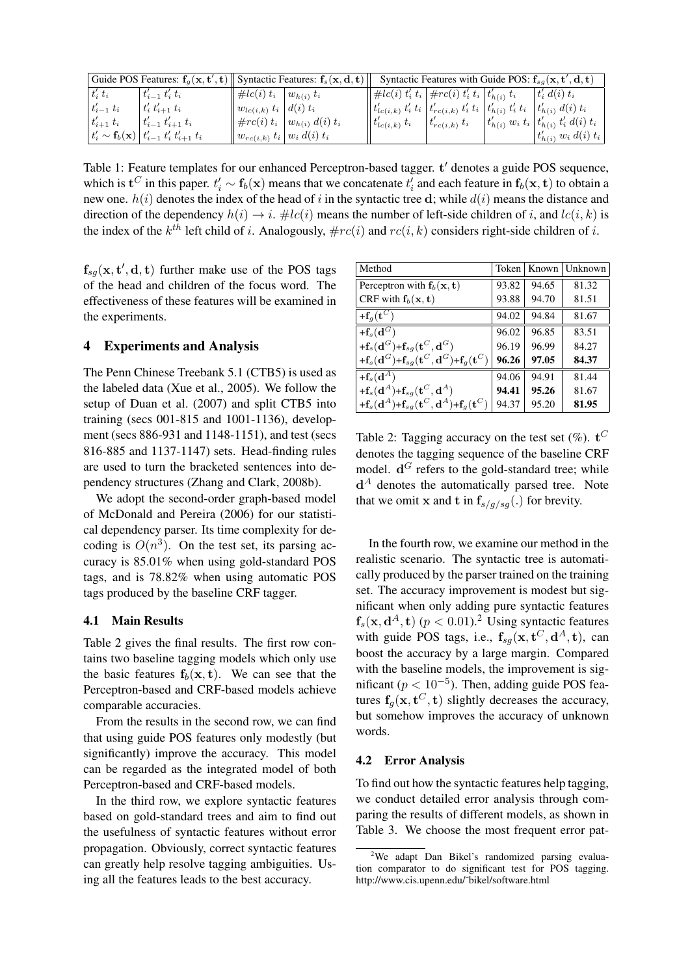| Guide POS Features: $f_g(x, t', t)$    Syntactic Features: $f_s(x, d, t)$ |                                                                           |                                               |                                      | Syntactic Features with Guide POS: $f_{sa}(\mathbf{x}, \mathbf{t}', \mathbf{d}, \mathbf{t})$                                                 |                      |  |                                                |
|---------------------------------------------------------------------------|---------------------------------------------------------------------------|-----------------------------------------------|--------------------------------------|----------------------------------------------------------------------------------------------------------------------------------------------|----------------------|--|------------------------------------------------|
| $t_i' t_i$                                                                | $t'_{i-1} t'_{i} t_{i}$                                                   | $\#lc(i) t_i \mid w_{h(i)} t_i$               |                                      | $\big\  \,\#lc(i) \ t'_i \ t_i \, \big\vert \, \#rc(i) \ t'_i \ t_i \, \big\vert \, t'_{h(i)} \ t_i \big\vert$                               |                      |  | $t'_i d(i) t_i$                                |
| $t'_{i-1}$ $t_i$                                                          | $t'_{i} t'_{i+1} t_{i}$                                                   | $\parallel w_{lc(i,k)} \ t_i \mid d(i) \ t_i$ |                                      | $\big\  \, t'_{lc(i,k)} \, t'_i \, t_i \, \big\vert \, t'_{rc(i,k)} \, t'_i \, t_i \, \, \big\vert \, t'_{h(i)} \, t'_i \, t_i \, \big\vert$ |                      |  | $t'_{h(i)} d(i) t_i$                           |
| $t'_{i+1}$ t <sub>i</sub>                                                 | $t'_{i-1} t'_{i+1} t_i$                                                   |                                               | $\#rc(i) t_i   w_{h(i)} d(i) t_i$    | $\Vert t'_{lc(i,k)} t_i \Vert$                                                                                                               | $ t'_{rc(i,k)} t_i $ |  | $ t'_{h(i)} w_i t_i  t'_{h(i)} t'_i d(i) t_i $ |
|                                                                           | $ t'_{i} \sim \mathbf{f}_{b}(\mathbf{x})  t'_{i-1} t'_{i} t'_{i+1} t_{i}$ |                                               | $   w_{rc(i,k)} t_i    w_i d(i) t_i$ |                                                                                                                                              |                      |  | $t'_{h(i)} w_i d(i) t_i$                       |

Table 1: Feature templates for our enhanced Perceptron-based tagger. **t** *′* denotes a guide POS sequence, which is  $\mathbf{t}^C$  in this paper.  $t'_i \sim \mathbf{f}_b(\mathbf{x})$  means that we concatenate  $t'_i$  and each feature in  $\mathbf{f}_b(\mathbf{x}, \mathbf{t})$  to obtain a new one. *h*(*i*) denotes the index of the head of *i* in the syntactic tree **d**; while *d*(*i*) means the distance and direction of the dependency  $h(i) \rightarrow i$ . #*lc*(*i*) means the number of left-side children of *i*, and *lc*(*i*, *k*) is the index of the  $k^{th}$  left child of *i*. Analogously,  $\# rc(i)$  and  $rc(i, k)$  considers right-side children of *i*.

 $f_{sg}(x, t', d, t)$  further make use of the POS tags of the head and children of the focus word. The effectiveness of these features will be examined in the experiments.

## 4 Experiments and Analysis

The Penn Chinese Treebank 5.1 (CTB5) is used as the labeled data (Xue et al., 2005). We follow the setup of Duan et al. (2007) and split CTB5 into training (secs 001-815 and 1001-1136), development (secs 886-931 and 1148-1151), and test (secs 816-885 and 1137-1147) sets. Head-finding rules are used to turn the bracketed sentences into dependency structures (Zhang and Clark, 2008b).

We adopt the second-order graph-based model of McDonald and Pereira (2006) for our statistical dependency parser. Its time complexity for decoding is  $O(n^3)$ . On the test set, its parsing accuracy is 85.01% when using gold-standard POS tags, and is 78.82% when using automatic POS tags produced by the baseline CRF tagger.

## 4.1 Main Results

Table 2 gives the final results. The first row contains two baseline tagging models which only use the basic features  $f_b(x, t)$ . We can see that the Perceptron-based and CRF-based models achieve comparable accuracies.

From the results in the second row, we can find that using guide POS features only modestly (but significantly) improve the accuracy. This model can be regarded as the integrated model of both Perceptron-based and CRF-based models.

In the third row, we explore syntactic features based on gold-standard trees and aim to find out the usefulness of syntactic features without error propagation. Obviously, correct syntactic features can greatly help resolve tagging ambiguities. Using all the features leads to the best accuracy.

| Method                                                                                                       | Token | Known | Unknown |
|--------------------------------------------------------------------------------------------------------------|-------|-------|---------|
| Perceptron with $f_b(x, t)$                                                                                  | 93.82 | 94.65 | 81.32   |
| CRF with $f_b(x, t)$                                                                                         | 93.88 | 94.70 | 81.51   |
| $+{\bf f}_g({\bf t}^C)$                                                                                      | 94.02 | 94.84 | 81.67   |
| $+\overline{\mathbf{f}_s(\mathbf{d}^G)}$                                                                     | 96.02 | 96.85 | 83.51   |
| + $\mathbf{f}_s(\mathbf{d}^G)$ + $\mathbf{f}_{sq}(\mathbf{t}^C,\mathbf{d}^G)$                                | 96.19 | 96.99 | 84.27   |
| + $\mathbf{f}_s(\mathbf{d}^G)$ + $\mathbf{f}_{sg}(\mathbf{t}^C,\mathbf{d}^G)$ + $\mathbf{f}_g(\mathbf{t}^C)$ | 96.26 | 97.05 | 84.37   |
| $+f_s(d^A)$                                                                                                  | 94.06 | 94.91 | 81.44   |
| + $\mathbf{f}_s(\mathbf{d}^A)$ + $\mathbf{f}_{sg}(\mathbf{t}^C, \mathbf{d}^A)$                               | 94.41 | 95.26 | 81.67   |
| + $\mathbf{f}_s(\mathbf{d}^A)$ + $\mathbf{f}_{sq}(\mathbf{t}^C,\mathbf{d}^A)$ + $\mathbf{f}_q(\mathbf{t}^C)$ | 94.37 | 95.20 | 81.95   |

Table 2: Tagging accuracy on the test set  $(\%)$ .  $\mathbf{t}^C$ denotes the tagging sequence of the baseline CRF model.  $\mathbf{d}^G$  refers to the gold-standard tree; while **d** *<sup>A</sup>* denotes the automatically parsed tree. Note that we omit **x** and **t** in  $f_{s/q/gg}(.)$  for brevity.

In the fourth row, we examine our method in the realistic scenario. The syntactic tree is automatically produced by the parser trained on the training set. The accuracy improvement is modest but significant when only adding pure syntactic features  $f_s(\mathbf{x}, \mathbf{d}^A, \mathbf{t})$  ( $p < 0.01$ ).<sup>2</sup> Using syntactic features with guide POS tags, i.e.,  $f_{sg}(\mathbf{x}, \mathbf{t}^C, \mathbf{d}^A, \mathbf{t})$ , can boost the accuracy by a large margin. Compared with the baseline models, the improvement is significant ( $p < 10^{-5}$ ). Then, adding guide POS features  $f_g(x, t^C, t)$  slightly decreases the accuracy, but somehow improves the accuracy of unknown words.

#### 4.2 Error Analysis

To find out how the syntactic features help tagging, we conduct detailed error analysis through comparing the results of different models, as shown in Table 3. We choose the most frequent error pat-

 $2$ We adapt Dan Bikel's randomized parsing evaluation comparator to do significant test for POS tagging. http://www.cis.upenn.edu/˜bikel/software.html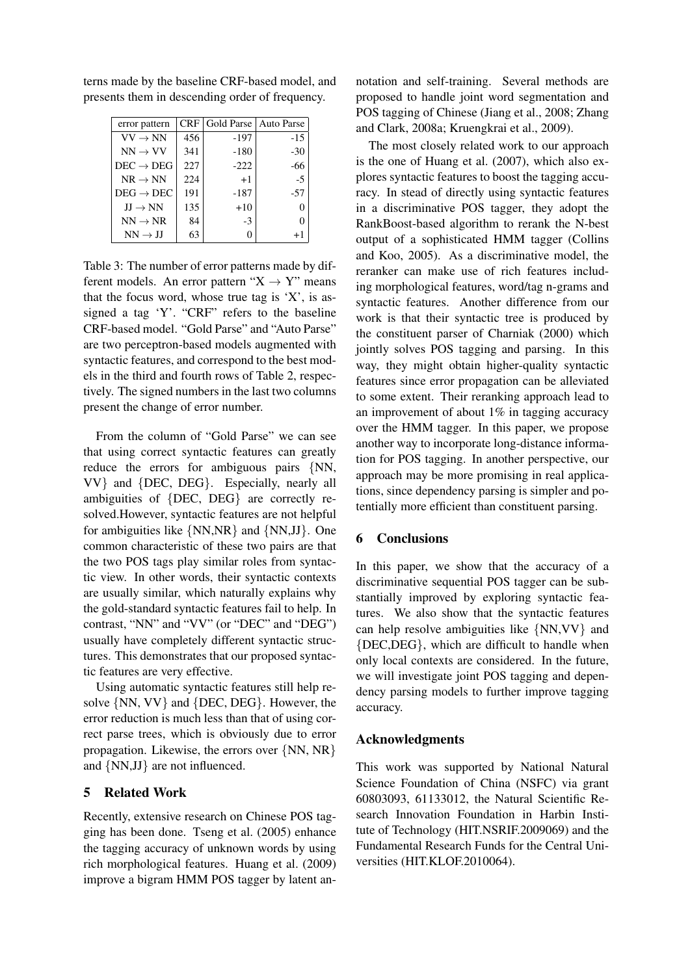| error pattern         |     | CRF   Gold Parse   Auto Parse |       |
|-----------------------|-----|-------------------------------|-------|
| $VV \rightarrow NN$   | 456 | -197                          | $-15$ |
| $NN \rightarrow VV$   | 341 | -180                          | $-30$ |
| $DEC \rightarrow DEG$ | 227 | $-222$                        | -66   |
| $NR \rightarrow NN$   | 224 | $+1$                          | $-5$  |
| $DEG \rightarrow DEC$ | 191 | -187                          | -57   |
| $JJ \rightarrow NN$   | 135 | $+10$                         | 0     |
| $NN \rightarrow NR$   | 84  | $-3$                          | 0     |
| $NN \rightarrow JJ$   | 63  | $\mathbf{\Omega}$             | $+1$  |

terns made by the baseline CRF-based model, and presents them in descending order of frequency.

Table 3: The number of error patterns made by different models. An error pattern "X *→* Y" means that the focus word, whose true tag is  $'X'$ , is assigned a tag 'Y'. "CRF" refers to the baseline CRF-based model. "Gold Parse" and "Auto Parse" are two perceptron-based models augmented with syntactic features, and correspond to the best models in the third and fourth rows of Table 2, respectively. The signed numbers in the last two columns present the change of error number.

From the column of "Gold Parse" we can see that using correct syntactic features can greatly reduce the errors for ambiguous pairs *{*NN, VV*}* and *{*DEC, DEG*}*. Especially, nearly all ambiguities of *{*DEC, DEG*}* are correctly resolved.However, syntactic features are not helpful for ambiguities like *{*NN,NR*}* and *{*NN,JJ*}*. One common characteristic of these two pairs are that the two POS tags play similar roles from syntactic view. In other words, their syntactic contexts are usually similar, which naturally explains why the gold-standard syntactic features fail to help. In contrast, "NN" and "VV" (or "DEC" and "DEG") usually have completely different syntactic structures. This demonstrates that our proposed syntactic features are very effective.

Using automatic syntactic features still help resolve *{*NN, VV*}* and *{*DEC, DEG*}*. However, the error reduction is much less than that of using correct parse trees, which is obviously due to error propagation. Likewise, the errors over *{*NN, NR*}* and *{*NN,JJ*}* are not influenced.

## 5 Related Work

Recently, extensive research on Chinese POS tagging has been done. Tseng et al. (2005) enhance the tagging accuracy of unknown words by using rich morphological features. Huang et al. (2009) improve a bigram HMM POS tagger by latent an-

notation and self-training. Several methods are proposed to handle joint word segmentation and POS tagging of Chinese (Jiang et al., 2008; Zhang and Clark, 2008a; Kruengkrai et al., 2009).

The most closely related work to our approach is the one of Huang et al. (2007), which also explores syntactic features to boost the tagging accuracy. In stead of directly using syntactic features in a discriminative POS tagger, they adopt the RankBoost-based algorithm to rerank the N-best output of a sophisticated HMM tagger (Collins and Koo, 2005). As a discriminative model, the reranker can make use of rich features including morphological features, word/tag n-grams and syntactic features. Another difference from our work is that their syntactic tree is produced by the constituent parser of Charniak (2000) which jointly solves POS tagging and parsing. In this way, they might obtain higher-quality syntactic features since error propagation can be alleviated to some extent. Their reranking approach lead to an improvement of about 1% in tagging accuracy over the HMM tagger. In this paper, we propose another way to incorporate long-distance information for POS tagging. In another perspective, our approach may be more promising in real applications, since dependency parsing is simpler and potentially more efficient than constituent parsing.

## 6 Conclusions

In this paper, we show that the accuracy of a discriminative sequential POS tagger can be substantially improved by exploring syntactic features. We also show that the syntactic features can help resolve ambiguities like *{*NN,VV*}* and *{*DEC,DEG*}*, which are difficult to handle when only local contexts are considered. In the future, we will investigate joint POS tagging and dependency parsing models to further improve tagging accuracy.

## Acknowledgments

This work was supported by National Natural Science Foundation of China (NSFC) via grant 60803093, 61133012, the Natural Scientific Research Innovation Foundation in Harbin Institute of Technology (HIT.NSRIF.2009069) and the Fundamental Research Funds for the Central Universities (HIT.KLOF.2010064).